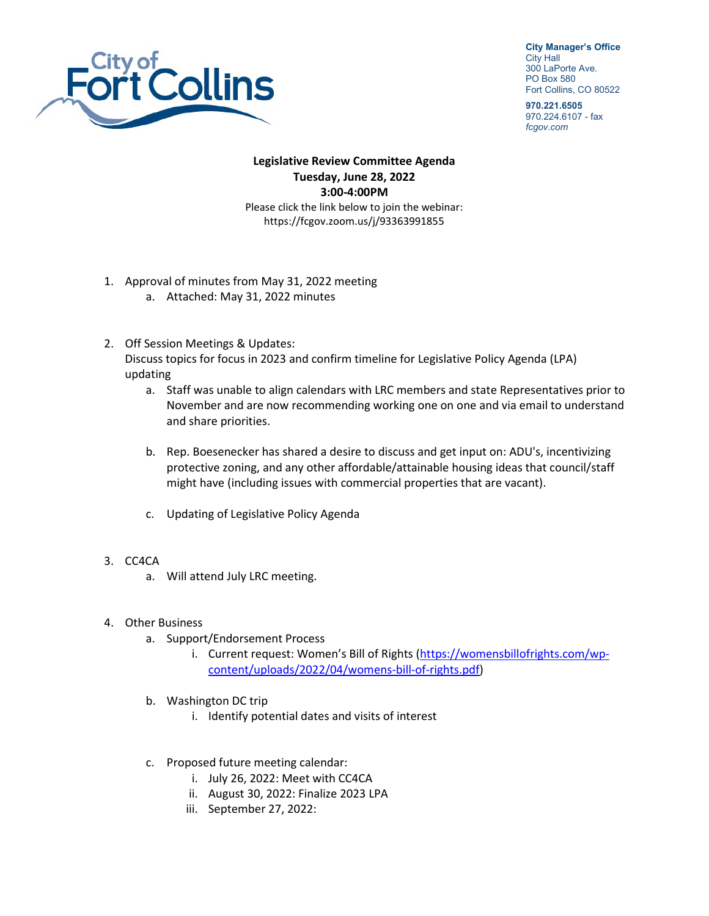

**City Manager's Office** City Hall 300 LaPorte Ave. PO Box 580

Fort Collins, CO 80522 **970.221.6505**

970.224.6107 - fax *fcgov.com*

## **Legislative Review Committee Agenda Tuesday, June 28, 2022 3:00-4:00PM** Please click the link below to join the webinar: <https://fcgov.zoom.us/j/93363991855>

- 1. Approval of minutes from May 31, 2022 meeting
	- a. Attached: May 31, 2022 minutes
- 2. Off Session Meetings & Updates: Discuss topics for focus in 2023 and confirm timeline for Legislative Policy Agenda (LPA) updating
	- a. Staff was unable to align calendars with LRC members and state Representatives prior to November and are now recommending working one on one and via email to understand and share priorities.
	- b. Rep. Boesenecker has shared a desire to discuss and get input on: ADU's, incentivizing protective zoning, and any other affordable/attainable housing ideas that council/staff might have (including issues with commercial properties that are vacant).
	- c. Updating of Legislative Policy Agenda
- 3. CC4CA
	- a. Will attend July LRC meeting.
- 4. Other Business
	- a. Support/Endorsement Process
		- i. Current request: Women's Bill of Rights [\(https://womensbillofrights.com/wp](https://womensbillofrights.com/wp-content/uploads/2022/04/womens-bill-of-rights.pdf)[content/uploads/2022/04/womens-bill-of-rights.pdf\)](https://womensbillofrights.com/wp-content/uploads/2022/04/womens-bill-of-rights.pdf)
	- b. Washington DC trip
		- i. Identify potential dates and visits of interest
	- c. Proposed future meeting calendar:
		- i. July 26, 2022: Meet with CC4CA
		- ii. August 30, 2022: Finalize 2023 LPA
		- iii. September 27, 2022: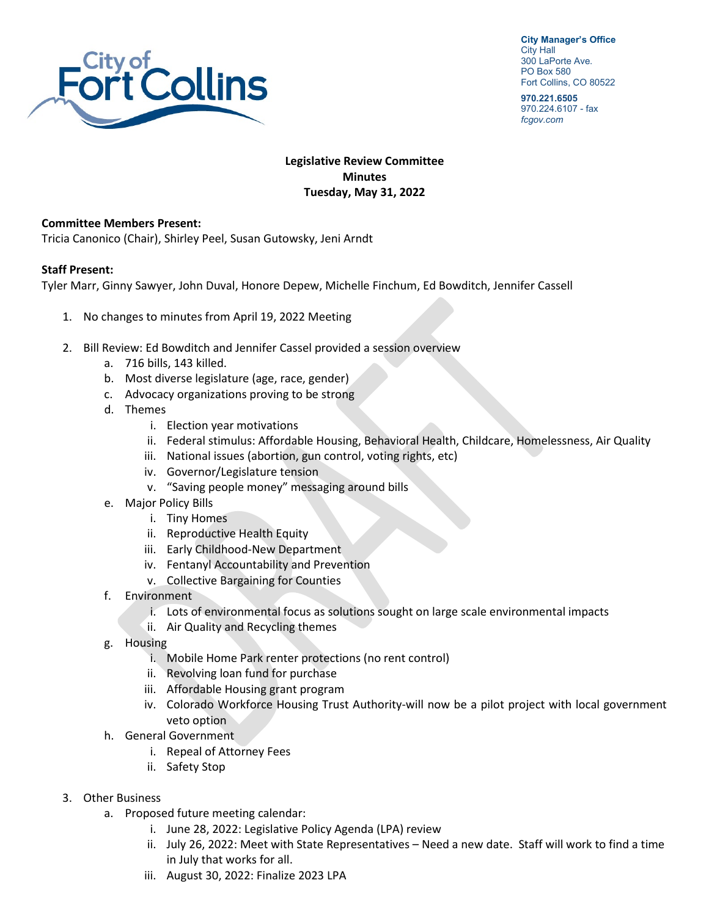

**City Manager's Office** City Hall 300 LaPorte Ave. PO Box 580 Fort Collins, CO 80522

**970.221.6505** 970.224.6107 - fax *fcgov.com*

## **Legislative Review Committee Minutes Tuesday, May 31, 2022**

## **Committee Members Present:**

Tricia Canonico (Chair), Shirley Peel, Susan Gutowsky, Jeni Arndt

## **Staff Present:**

Tyler Marr, Ginny Sawyer, John Duval, Honore Depew, Michelle Finchum, Ed Bowditch, Jennifer Cassell

- 1. No changes to minutes from April 19, 2022 Meeting
- 2. Bill Review: Ed Bowditch and Jennifer Cassel provided a session overview
	- a. 716 bills, 143 killed.
	- b. Most diverse legislature (age, race, gender)
	- c. Advocacy organizations proving to be strong
	- d. Themes
		- i. Election year motivations
		- ii. Federal stimulus: Affordable Housing, Behavioral Health, Childcare, Homelessness, Air Quality
		- iii. National issues (abortion, gun control, voting rights, etc)
		- iv. Governor/Legislature tension
		- v. "Saving people money" messaging around bills
	- e. Major Policy Bills
		- i. Tiny Homes
		- ii. Reproductive Health Equity
		- iii. Early Childhood-New Department
		- iv. Fentanyl Accountability and Prevention
		- v. Collective Bargaining for Counties
	- f. Environment
		- i. Lots of environmental focus as solutions sought on large scale environmental impacts
		- ii. Air Quality and Recycling themes
	- g. Housing
		- i. Mobile Home Park renter protections (no rent control)
		- ii. Revolving loan fund for purchase
		- iii. Affordable Housing grant program
		- iv. Colorado Workforce Housing Trust Authority-will now be a pilot project with local government veto option
	- h. General Government
		- i. Repeal of Attorney Fees
		- ii. Safety Stop
- 3. Other Business
	- a. Proposed future meeting calendar:
		- i. June 28, 2022: Legislative Policy Agenda (LPA) review
		- ii. July 26, 2022: Meet with State Representatives Need a new date. Staff will work to find a time in July that works for all.
		- iii. August 30, 2022: Finalize 2023 LPA